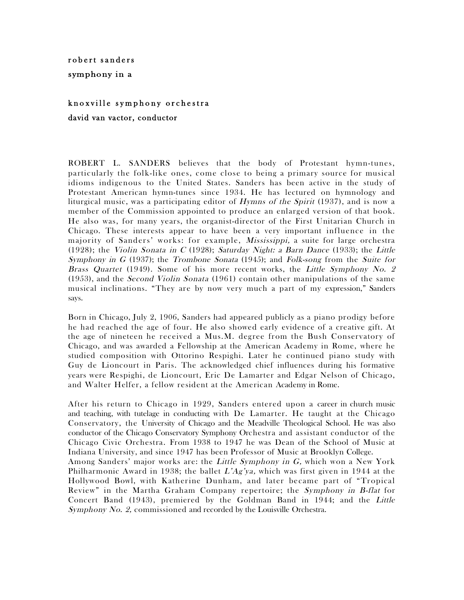## robert sanders symphony in a

## knoxville symphony orchestra

david van vactor, conductor

ROBERT L. SANDERS believes that the body of Protestant hymn-tunes, particularly the folk-like ones, come close to being a primary source for musical idioms indigenous to the United States. Sanders has been active in the study of Protestant American hymn-tunes since 1934. He has lectured on hymnology and liturgical music, was a participating editor of Hymns of the Spirit (1937), and is now a member of the Commission appointed to produce an enlarged version of that book. He also was, for many years, the organist-director of the First Unitarian Church in Chicago. These interests appear to have been a very important influence in the majority of Sanders' works: for example, Mississippi, a suite for large orchestra (1928); the Violin Sonata in C (1928); Saturday Night: a Barn Dance (1933); the Little Symphony in G (1937); the Trombone Sonata (1945); and Folk-song from the Suite for Brass Quartet (1949). Some of his more recent works, the Little Symphony No. 2 (1953), and the Second Violin Sonata (1961) contain other manipulations of the same musical inclinations. "They are by now very much a part of my expression," Sanders says.

Born in Chicago, July 2, 1906, Sanders had appeared publicly as a piano prodigy before he had reached the age of four. He also showed early evidence of a creative gift. At the age of nineteen he received a Mus.M. degree from the Bush Conservatory of Chicago, and was awarded a Fellowship at the American Academy in Rome, where he studied composition with Ottorino Respighi. Later he continued piano study with Guy de Lioncourt in Paris. The acknowledged chief influences during his formative years were Respighi, de Lioncourt, Eric De Lamarter and Edgar Nelson of Chicago, and Walter Helfer, a fellow resident at the American Academy in Rome.

After his return to Chicago in 1929, Sanders entered upon a career in church music and teaching, with tutelage in conducting with De Lamarter. He taught at the Chicago Conservatory, the University of Chicago and the Meadville Theological School. He was also conductor of the Chicago Conservatory Symphony Orchestra and assistant conductor of the Chicago Civic Orchestra. From 1938 to 1947 he was Dean of the School of Music at Indiana University, and since 1947 has been Professor of Music at Brooklyn College. Among Sanders' major works are: the *Little Symphony in G*, which won a New York Philharmonic Award in 1938; the ballet  $L'Ag'ya$ , which was first given in 1944 at the Hollywood Bowl, with Katherine Dunham, and later became part of "Tropical Review" in the Martha Graham Company repertoire; the Symphony in B-flat for Concert Band (1943), premiered by the Goldman Band in 1944; and the Little Symphony No. 2, commissioned and recorded by the Louisville Orchestra.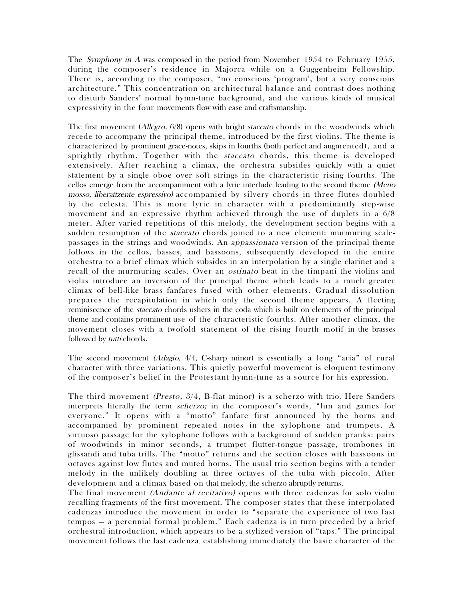The *Symphony in A* was composed in the period from November 1954 to February 1955, during the composer's residence in Majorca while on a Guggenheim Fellowship. There is, according to the composer, "no conscious 'program', but a very conscious architecture." This concentration on architectural balance and contrast does nothing to disturb Sanders' normal hymn-tune background, and the various kinds of musical expressivity in the four movements flow with ease and craftsmanship.

The first movement *(Allegro, 6/8)* opens with bright *staccato* chords in the woodwinds which recede to accompany the principal theme, introduced by the first violins. The theme is characterized by prominent grace-notes, skips in fourths (both perfect and augmented), and a sprightly rhythm. Together with the *staccato* chords, this theme is developed extensively. After reaching a climax, the orchestra subsides quickly with a quiet statement by a single oboe over soft strings in the characteristic rising fourths. The cellos emerge from the accompaniment with a lyric interlude leading to the second theme (Meno mosso, *liberattzente espressivo*) accompanied by silvery chords in three flutes doubled by the celesta. This is more lyric in character with a predominantly step-wise movement and an expressive rhythm achieved through the use of duplets in a 6/8 meter. After varied repetitions of this melody, the development section begins with a sudden resumption of the *staccato* chords joined to a new element: murmuring scalepassages in the strings and woodwinds. An appassionata version of the principal theme follows in the cellos, basses, and bassoons, subsequently developed in the entire orchestra to a brief climax which subsides in an interpolation by a single clarinet and a recall of the murmuring scales. Over an *ostinato* beat in the timpani the violins and violas introduce an inversion of the principal theme which leads to a much greater climax of bell-like brass fanfares fused with other elements. Gradual dissolution prepares the recapitulation in which only the second theme appears. A fleeting reminiscence of the staccato chords ushers in the coda which is built on elements of the principal theme and contains prominent use of the characteristic fourths. After another climax, the movement closes with a twofold statement of the rising fourth motif in the brasses followed by *tutti* chords.

The second movement (Adagio, 4/4, C-sharp minor) is essentially a long "aria" of rural character with three variations. This quietly powerful movement is eloquent testimony of the composer's belief in the Protestant hymn-tune as a source for his expression.

The third movement (Presto, 3/4, B-flat minor) is a scherzo with trio. Here Sanders interprets literally the term *scherzo;* in the composer's words, "fun and games for everyone." It opens with a "motto" fanfare first announced by the horns and accompanied by prominent repeated notes in the xylophone and trumpets. A virtuoso passage for the xylophone follows with a background of sudden pranks: pairs of woodwinds in minor seconds, a trumpet flutter-tongue passage, trombones in glissandi and tuba trills. The "motto" returns and the section closes with bassoons in octaves against low flutes and muted horns. The usual trio section begins with a tender melody in the unlikely doubling at three octaves of the tuba with piccolo. After development and a climax based on that melody, the scherzo abruptly returns.

The final movement *(Andante al recitativo)* opens with three cadenzas for solo violin recalling fragments of the first movement. The composer states that these interpolated cadenzas introduce the movement in order to "separate the experience of two fast tempos — a perennial formal problem." Each cadenza is in turn preceded by a brief orchestral introduction, which appears to be a stylized version of "taps." The principal movement follows the last cadenza, establishing immediately the basic character of the